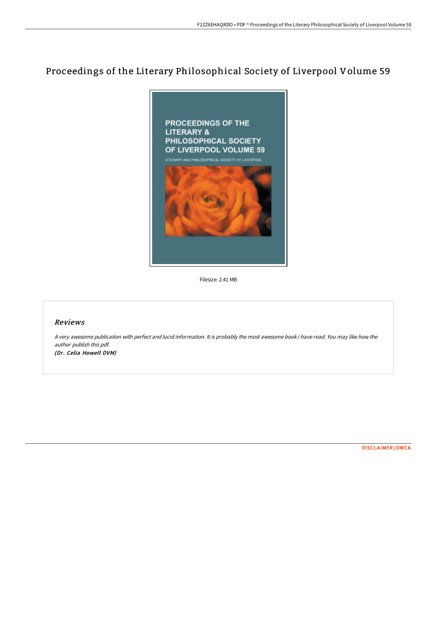# Proceedings of the Literary Philosophical Society of Liverpool Volume 59



Filesize: 2.41 MB

### Reviews

A very awesome publication with perfect and lucid information. It is probably the most awesome book i have read. You may like how the author publish this pdf. (Dr. Celia Howell DVM)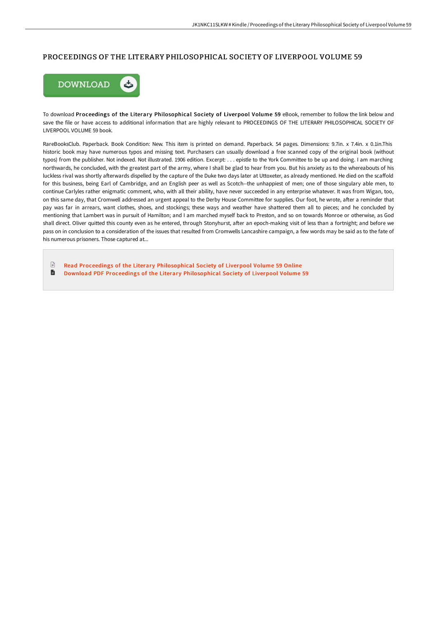#### PROCEEDINGS OF THE LITERARY PHILOSOPHICAL SOCIETY OF LIVERPOOL VOLUME 59



To download Proceedings of the Literary Philosophical Society of Liverpool Volume 59 eBook, remember to follow the link below and save the file or have access to additional information that are highly relevant to PROCEEDINGS OF THE LITERARY PHILOSOPHICAL SOCIETY OF LIVERPOOL VOLUME 59 book.

RareBooksClub. Paperback. Book Condition: New. This item is printed on demand. Paperback. 54 pages. Dimensions: 9.7in. x 7.4in. x 0.1in.This historic book may have numerous typos and missing text. Purchasers can usually download a free scanned copy of the original book (without typos) from the publisher. Not indexed. Not illustrated. 1906 edition. Excerpt: . . . epistle to the York Committee to be up and doing. I am marching northwards, he concluded, with the greatest part of the army, where I shall be glad to hear from you. But his anxiety as to the whereabouts of his luckless rival was shortly afterwards dispelled by the capture of the Duke two days later at Uttoxeter, as already mentioned. He died on the scaffold for this business, being Earl of Cambridge, and an English peer as well as Scotch--the unhappiest of men; one of those singulary able men, to continue Carlyles rather enigmatic comment, who, with all their ability, have never succeeded in any enterprise whatever. It was from Wigan, too, on this same day, that Cromwell addressed an urgent appeal to the Derby House Committee for supplies. Our foot, he wrote, after a reminder that pay was far in arrears, want clothes, shoes, and stockings; these ways and weather have shattered them all to pieces; and he concluded by mentioning that Lambert was in pursuit of Hamilton; and I am marched myself back to Preston, and so on towards Monroe or otherwise, as God shall direct. Oliver quitted this county even as he entered, through Stonyhurst, after an epoch-making visit of less than a fortnight; and before we pass on in conclusion to a consideration of the issues that resulted from Cromwells Lancashire campaign, a few words may be said as to the fate of his numerous prisoners. Those captured at...

 $\mathbb{R}$ Read Proceedings of the Literary [Philosophical](http://digilib.live/proceedings-of-the-literary-philosophical-societ.html) Society of Liverpool Volume 59 Online D

Download PDF Proceedings of the Literary [Philosophical](http://digilib.live/proceedings-of-the-literary-philosophical-societ.html) Society of Liverpool Volume 59